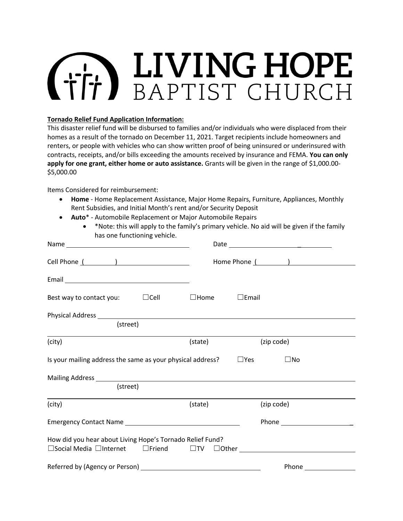# (THE LIVING HOPE

### **Tornado Relief Fund Application Information:**

This disaster relief fund will be disbursed to families and/or individuals who were displaced from their homes as a result of the tornado on December 11, 2021. Target recipients include homeowners and renters, or people with vehicles who can show written proof of being uninsured or underinsured with contracts, receipts, and/or bills exceeding the amounts received by insurance and FEMA. **You can only apply for one grant, either home or auto assistance.** Grants will be given in the range of \$1,000.00- \$5,000.00

Items Considered for reimbursement:

- **Home** Home Replacement Assistance, Major Home Repairs, Furniture, Appliances, Monthly Rent Subsidies, and Initial Month's rent and/or Security Deposit
- **Auto**\* Automobile Replacement or Major Automobile Repairs
	- \*Note: this will apply to the family's primary vehicle. No aid will be given if the family has one functioning vehicle.

| Cell Phone ( and )                                                   |                                                                                                                                                                                                                                |                                              |
|----------------------------------------------------------------------|--------------------------------------------------------------------------------------------------------------------------------------------------------------------------------------------------------------------------------|----------------------------------------------|
|                                                                      |                                                                                                                                                                                                                                |                                              |
| Best way to contact you: $\Box$ Cell $\Box$ Home                     |                                                                                                                                                                                                                                | $\Box$ Email                                 |
|                                                                      |                                                                                                                                                                                                                                |                                              |
| (street)                                                             |                                                                                                                                                                                                                                |                                              |
| (city)                                                               | (state)                                                                                                                                                                                                                        | (zip code)                                   |
| Is your mailing address the same as your physical address?           |                                                                                                                                                                                                                                | $\Box$ Yes<br>$\square$ No                   |
|                                                                      |                                                                                                                                                                                                                                |                                              |
| (street)                                                             |                                                                                                                                                                                                                                |                                              |
| <u> 1989 - Johann Barn, amerikansk politiker (d. 1989)</u><br>(city) | (state) and the state of the state of the state of the state of the state of the state of the state of the state of the state of the state of the state of the state of the state of the state of the state of the state of th | (zip code)                                   |
|                                                                      |                                                                                                                                                                                                                                |                                              |
| How did you hear about Living Hope's Tornado Relief Fund?            |                                                                                                                                                                                                                                | □Social Media □Internet □Friend □TV □Other □ |
|                                                                      |                                                                                                                                                                                                                                | Phone $\_\_$                                 |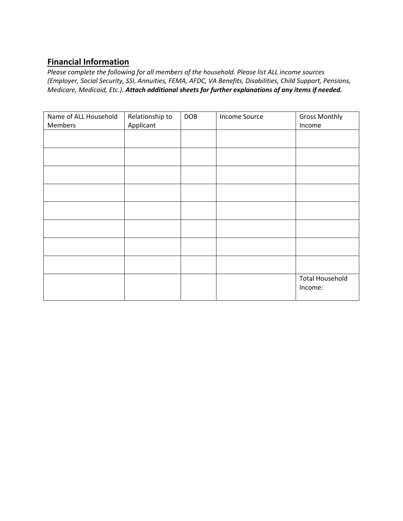# **Financial Information**

*Please complete the following for all members of the household. Please list ALL income sources (Employer, Social Security, SSI, Annuities, FEMA, AFDC, VA Benefits, Disabilities, Child Support, Pensions, Medicare, Medicaid, Etc.). Attach additional sheets for further explanations of any items if needed.*

| Name of ALL Household<br>Members | Relationship to<br>Applicant | <b>DOB</b> | Income Source | <b>Gross Monthly</b><br>Income    |
|----------------------------------|------------------------------|------------|---------------|-----------------------------------|
|                                  |                              |            |               |                                   |
|                                  |                              |            |               |                                   |
|                                  |                              |            |               |                                   |
|                                  |                              |            |               |                                   |
|                                  |                              |            |               |                                   |
|                                  |                              |            |               |                                   |
|                                  |                              |            |               |                                   |
|                                  |                              |            |               |                                   |
|                                  |                              |            |               | <b>Total Household</b><br>Income: |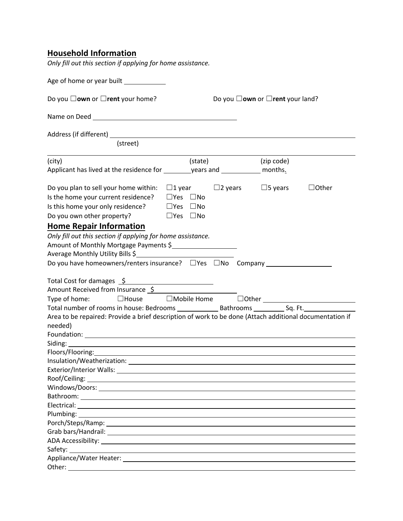## **Household Information**

*Only fill out this section if applying for home assistance.* 

| Age of home or year built _____________                                                                                                                                                                                                                   |                            |                               |                                                   |                                                     |
|-----------------------------------------------------------------------------------------------------------------------------------------------------------------------------------------------------------------------------------------------------------|----------------------------|-------------------------------|---------------------------------------------------|-----------------------------------------------------|
| Do you $\square$ own or $\square$ rent your home?                                                                                                                                                                                                         |                            |                               | Do you $\square$ own or $\square$ rent your land? |                                                     |
|                                                                                                                                                                                                                                                           |                            |                               |                                                   |                                                     |
|                                                                                                                                                                                                                                                           |                            |                               |                                                   |                                                     |
| (street)                                                                                                                                                                                                                                                  |                            |                               |                                                   |                                                     |
| (city)                                                                                                                                                                                                                                                    | (state)                    |                               | (zip code)                                        |                                                     |
| Applicant has lived at the residence for ___________years and _______________ months.                                                                                                                                                                     |                            |                               |                                                   |                                                     |
| Do you plan to sell your home within: $\Box$ 1 year<br>Is the home your current residence? $\Box$ Yes $\Box$ No<br>Is this home your only residence? $\Box$ Yes $\Box$ No<br>Do you own other property?                                                   | $\square$ Yes $\square$ No | $\Box$ 2 years $\Box$ 5 years |                                                   | $\Box$ Other                                        |
| <b>Home Repair Information</b><br>Only fill out this section if applying for home assistance.                                                                                                                                                             |                            |                               |                                                   |                                                     |
| Amount of Monthly Mortgage Payments \$<br>Average Monthly Utility Bills \$<br>Do you have homeowners/renters insurance? $\square$ Yes $\square$ No Company                                                                                                |                            |                               |                                                   |                                                     |
| Total Cost for damages $\frac{1}{2}$<br>Amount Received from Insurance \$                                                                                                                                                                                 |                            |                               |                                                   |                                                     |
| Type of home:<br>Area to be repaired: Provide a brief description of work to be done (Attach additional documentation if<br>needed)                                                                                                                       |                            |                               |                                                   | $\Box$ House $\Box$ Mobile Home $\Box$ Other $\Box$ |
|                                                                                                                                                                                                                                                           |                            |                               |                                                   |                                                     |
|                                                                                                                                                                                                                                                           |                            |                               |                                                   |                                                     |
| Insulation/Weatherization: with a state of the state of the state of the state of the state of the state of the state of the state of the state of the state of the state of the state of the state of the state of the state<br>Exterior/Interior Walls: |                            |                               |                                                   |                                                     |
|                                                                                                                                                                                                                                                           |                            |                               |                                                   |                                                     |
|                                                                                                                                                                                                                                                           |                            |                               |                                                   |                                                     |
|                                                                                                                                                                                                                                                           |                            |                               |                                                   |                                                     |
|                                                                                                                                                                                                                                                           |                            |                               |                                                   |                                                     |
|                                                                                                                                                                                                                                                           |                            |                               |                                                   |                                                     |
|                                                                                                                                                                                                                                                           |                            |                               |                                                   |                                                     |
|                                                                                                                                                                                                                                                           |                            |                               |                                                   |                                                     |
|                                                                                                                                                                                                                                                           |                            |                               |                                                   |                                                     |
|                                                                                                                                                                                                                                                           |                            |                               |                                                   |                                                     |
| Other: will be a series of the series of the series of the series of the series of the series of the series of the series of the series of the series of the series of the series of the series of the series of the series of                            |                            |                               |                                                   |                                                     |
|                                                                                                                                                                                                                                                           |                            |                               |                                                   |                                                     |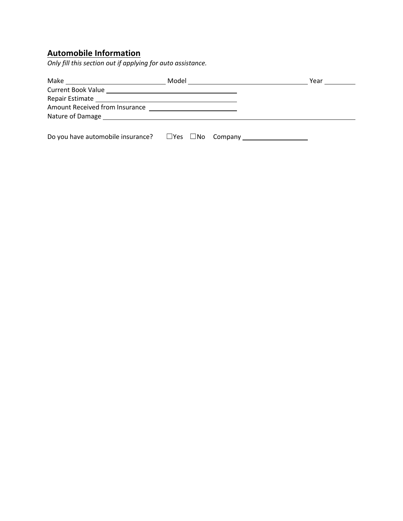# **Automobile Information**

*Only fill this section out if applying for auto assistance.* 

| Make | Model | Year |
|------|-------|------|
|      |       |      |
|      |       |      |
|      |       |      |
|      |       |      |
|      |       |      |
|      |       |      |

Do you have automobile insurance? ☐Yes ☐No Company